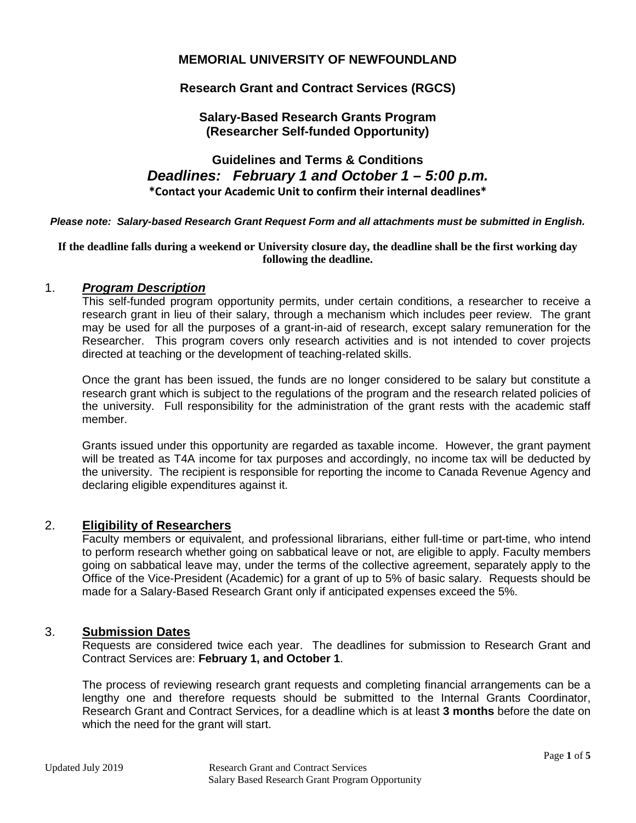# **MEMORIAL UNIVERSITY OF NEWFOUNDLAND**

# **Research Grant and Contract Services (RGCS)**

# **Salary-Based Research Grants Program (Researcher Self-funded Opportunity)**

# **Guidelines and Terms & Conditions** *Deadlines: February 1 and October 1 – 5:00 p.m.* **\*Contact your Academic Unit to confirm their internal deadlines\***

*Please note: Salary-based Research Grant Request Form and all attachments must be submitted in English.*

#### **If the deadline falls during a weekend or University closure day, the deadline shall be the first working day following the deadline.**

### 1. *Program Description*

This self-funded program opportunity permits, under certain conditions, a researcher to receive a research grant in lieu of their salary, through a mechanism which includes peer review. The grant may be used for all the purposes of a grant-in-aid of research, except salary remuneration for the Researcher. This program covers only research activities and is not intended to cover projects directed at teaching or the development of teaching-related skills.

Once the grant has been issued, the funds are no longer considered to be salary but constitute a research grant which is subject to the regulations of the program and the research related policies of the university. Full responsibility for the administration of the grant rests with the academic staff member.

Grants issued under this opportunity are regarded as taxable income. However, the grant payment will be treated as T4A income for tax purposes and accordingly, no income tax will be deducted by the university. The recipient is responsible for reporting the income to Canada Revenue Agency and declaring eligible expenditures against it.

### 2. **Eligibility of Researchers**

Faculty members or equivalent, and professional librarians, either full-time or part-time, who intend to perform research whether going on sabbatical leave or not, are eligible to apply. Faculty members going on sabbatical leave may, under the terms of the collective agreement, separately apply to the Office of the Vice-President (Academic) for a grant of up to 5% of basic salary. Requests should be made for a Salary-Based Research Grant only if anticipated expenses exceed the 5%.

#### 3. **Submission Dates**

Requests are considered twice each year. The deadlines for submission to Research Grant and Contract Services are: **February 1, and October 1**.

The process of reviewing research grant requests and completing financial arrangements can be a lengthy one and therefore requests should be submitted to the Internal Grants Coordinator, Research Grant and Contract Services, for a deadline which is at least **3 months** before the date on which the need for the grant will start.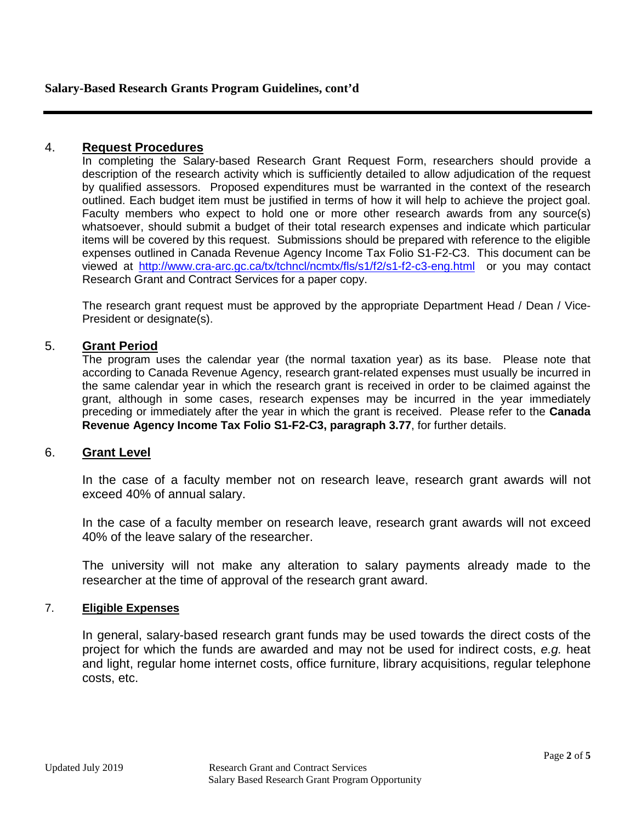# 4. **Request Procedures**

In completing the Salary-based Research Grant Request Form, researchers should provide a description of the research activity which is sufficiently detailed to allow adjudication of the request by qualified assessors. Proposed expenditures must be warranted in the context of the research outlined. Each budget item must be justified in terms of how it will help to achieve the project goal. Faculty members who expect to hold one or more other research awards from any source(s) whatsoever, should submit a budget of their total research expenses and indicate which particular items will be covered by this request. Submissions should be prepared with reference to the eligible expenses outlined in Canada Revenue Agency Income Tax Folio S1-F2-C3. This document can be viewed at <http://www.cra-arc.gc.ca/tx/tchncl/ncmtx/fls/s1/f2/s1-f2-c3-eng.html> or you may contact Research Grant and Contract Services for a paper copy.

The research grant request must be approved by the appropriate Department Head / Dean / Vice-President or designate(s).

# 5. **Grant Period**

The program uses the calendar year (the normal taxation year) as its base. Please note that according to Canada Revenue Agency, research grant-related expenses must usually be incurred in the same calendar year in which the research grant is received in order to be claimed against the grant, although in some cases, research expenses may be incurred in the year immediately preceding or immediately after the year in which the grant is received. Please refer to the **Canada Revenue Agency Income Tax Folio S1-F2-C3, paragraph 3.77**, for further details.

#### 6. **Grant Level**

In the case of a faculty member not on research leave, research grant awards will not exceed 40% of annual salary.

In the case of a faculty member on research leave, research grant awards will not exceed 40% of the leave salary of the researcher.

The university will not make any alteration to salary payments already made to the researcher at the time of approval of the research grant award.

#### 7. **Eligible Expenses**

In general, salary-based research grant funds may be used towards the direct costs of the project for which the funds are awarded and may not be used for indirect costs, *e.g.* heat and light, regular home internet costs, office furniture, library acquisitions, regular telephone costs, etc.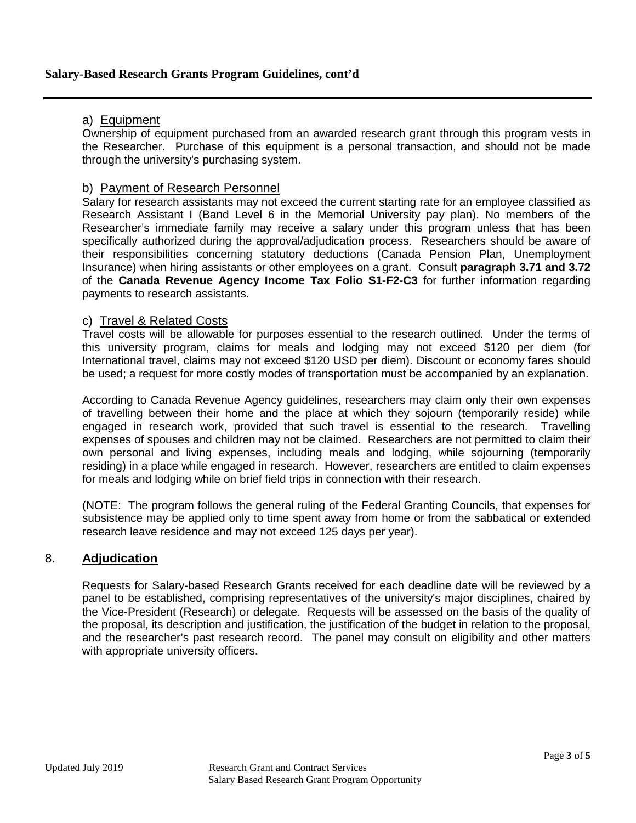### **Salary-Based Research Grants Program Guidelines, cont'd**

#### a) Equipment

Ownership of equipment purchased from an awarded research grant through this program vests in the Researcher. Purchase of this equipment is a personal transaction, and should not be made through the university's purchasing system.

### b) Payment of Research Personnel

Salary for research assistants may not exceed the current starting rate for an employee classified as Research Assistant I (Band Level 6 in the Memorial University pay plan). No members of the Researcher's immediate family may receive a salary under this program unless that has been specifically authorized during the approval/adjudication process. Researchers should be aware of their responsibilities concerning statutory deductions (Canada Pension Plan, Unemployment Insurance) when hiring assistants or other employees on a grant. Consult **paragraph 3.71 and 3.72** of the **Canada Revenue Agency Income Tax Folio S1-F2-C3** for further information regarding payments to research assistants.

### c) Travel & Related Costs

Travel costs will be allowable for purposes essential to the research outlined. Under the terms of this university program, claims for meals and lodging may not exceed \$120 per diem (for International travel, claims may not exceed \$120 USD per diem). Discount or economy fares should be used; a request for more costly modes of transportation must be accompanied by an explanation.

According to Canada Revenue Agency guidelines, researchers may claim only their own expenses of travelling between their home and the place at which they sojourn (temporarily reside) while engaged in research work, provided that such travel is essential to the research. Travelling expenses of spouses and children may not be claimed. Researchers are not permitted to claim their own personal and living expenses, including meals and lodging, while sojourning (temporarily residing) in a place while engaged in research. However, researchers are entitled to claim expenses for meals and lodging while on brief field trips in connection with their research.

(NOTE: The program follows the general ruling of the Federal Granting Councils, that expenses for subsistence may be applied only to time spent away from home or from the sabbatical or extended research leave residence and may not exceed 125 days per year).

#### 8. **Adjudication**

Requests for Salary-based Research Grants received for each deadline date will be reviewed by a panel to be established, comprising representatives of the university's major disciplines, chaired by the Vice-President (Research) or delegate. Requests will be assessed on the basis of the quality of the proposal, its description and justification, the justification of the budget in relation to the proposal, and the researcher's past research record. The panel may consult on eligibility and other matters with appropriate university officers.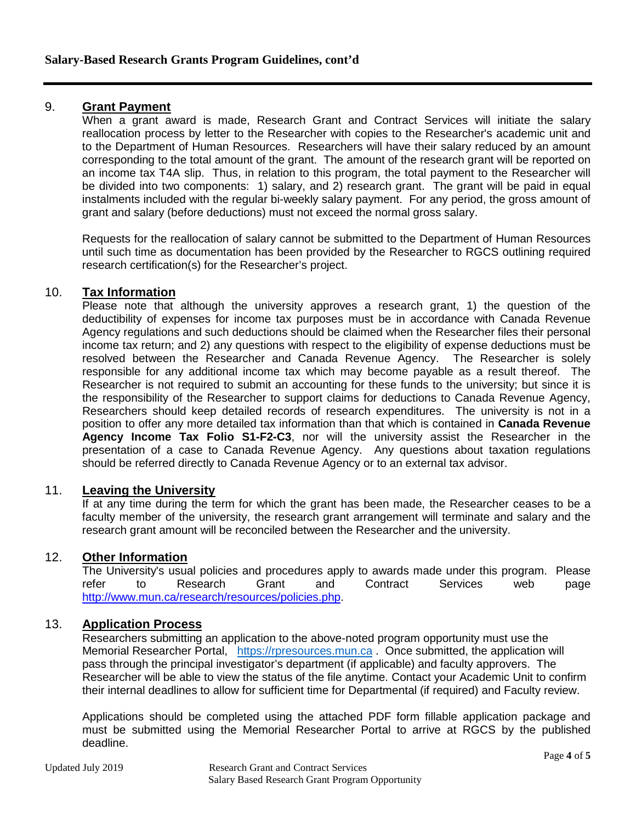### 9. **Grant Payment**

When a grant award is made, Research Grant and Contract Services will initiate the salary reallocation process by letter to the Researcher with copies to the Researcher's academic unit and to the Department of Human Resources. Researchers will have their salary reduced by an amount corresponding to the total amount of the grant. The amount of the research grant will be reported on an income tax T4A slip. Thus, in relation to this program, the total payment to the Researcher will be divided into two components: 1) salary, and 2) research grant. The grant will be paid in equal instalments included with the regular bi-weekly salary payment. For any period, the gross amount of grant and salary (before deductions) must not exceed the normal gross salary.

Requests for the reallocation of salary cannot be submitted to the Department of Human Resources until such time as documentation has been provided by the Researcher to RGCS outlining required research certification(s) for the Researcher's project.

### 10. **Tax Information**

Please note that although the university approves a research grant, 1) the question of the deductibility of expenses for income tax purposes must be in accordance with Canada Revenue Agency regulations and such deductions should be claimed when the Researcher files their personal income tax return; and 2) any questions with respect to the eligibility of expense deductions must be resolved between the Researcher and Canada Revenue Agency. The Researcher is solely responsible for any additional income tax which may become payable as a result thereof. The Researcher is not required to submit an accounting for these funds to the university; but since it is the responsibility of the Researcher to support claims for deductions to Canada Revenue Agency, Researchers should keep detailed records of research expenditures. The university is not in a position to offer any more detailed tax information than that which is contained in **Canada Revenue Agency Income Tax Folio S1-F2-C3**, nor will the university assist the Researcher in the presentation of a case to Canada Revenue Agency. Any questions about taxation regulations should be referred directly to Canada Revenue Agency or to an external tax advisor.

# 11. **Leaving the University**

If at any time during the term for which the grant has been made, the Researcher ceases to be a faculty member of the university, the research grant arrangement will terminate and salary and the research grant amount will be reconciled between the Researcher and the university.

#### 12. **Other Information**

The University's usual policies and procedures apply to awards made under this program. Please refer to Research Grant and Contract Services web page [http://www.mun.ca/research/resources/policies.php.](http://www.mun.ca/research/resources/policies.php)

# 13. **Application Process**

Researchers submitting an application to the above-noted program opportunity must use the Memorial Researcher Portal, [https://rpresources.mun.ca](https://rpresources.mun.ca/). Once submitted, the application will pass through the principal investigator's department (if applicable) and faculty approvers. The Researcher will be able to view the status of the file anytime. Contact your Academic Unit to confirm their internal deadlines to allow for sufficient time for Departmental (if required) and Faculty review.

Applications should be completed using the attached PDF form fillable application package and must be submitted using the Memorial Researcher Portal to arrive at RGCS by the published deadline.